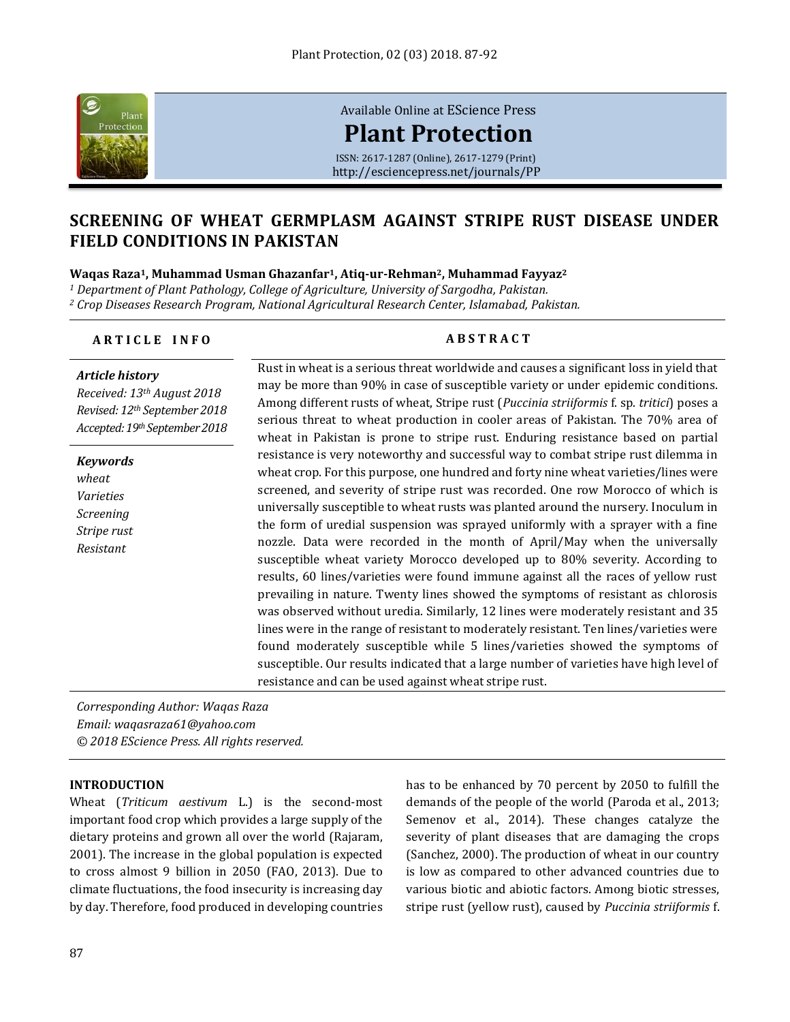

[Available Online at](http://esciencepress.net/journals/PP) EScience Press **[Plant Protection](http://esciencepress.net/journals/PP)** ISSN: 2617-1287 (Online), 2617-1279 (Print)

<http://esciencepress.net/journals/PP>

# **SCREENING OF WHEAT GERMPLASM AGAINST STRIPE RUST DISEASE UNDER FIELD CONDITIONS IN PAKISTAN**

**Waqas Raza1, Muhammad Usman Ghazanfar1, Atiq-ur-Rehman2, Muhammad Fayyaz<sup>2</sup>**

*<sup>1</sup> Department of Plant Pathology, College of Agriculture, University of Sargodha, Pakistan. <sup>2</sup> Crop Diseases Research Program, National Agricultural Research Center, Islamabad, Pakistan.*

# **A R T I C L E I N F O A B S T R A C T**

#### *Article history*

*Received: 13th August 2018 Revised: 12th September 2018 Accepted: 19th September 2018*

*Keywords wheat Varieties Screening Stripe rust Resistant*

Rust in wheat is a serious threat worldwide and causes a significant loss in yield that may be more than 90% in case of susceptible variety or under epidemic conditions. Among different rusts of wheat, Stripe rust (*Puccinia striiformis* f. sp. *tritici*) poses a serious threat to wheat production in cooler areas of Pakistan. The 70% area of wheat in Pakistan is prone to stripe rust. Enduring resistance based on partial resistance is very noteworthy and successful way to combat stripe rust dilemma in wheat crop. For this purpose, one hundred and forty nine wheat varieties/lines were screened, and severity of stripe rust was recorded. One row Morocco of which is universally susceptible to wheat rusts was planted around the nursery. Inoculum in the form of uredial suspension was sprayed uniformly with a sprayer with a fine nozzle. Data were recorded in the month of April/May when the universally susceptible wheat variety Morocco developed up to 80% severity. According to results, 60 lines/varieties were found immune against all the races of yellow rust prevailing in nature. Twenty lines showed the symptoms of resistant as chlorosis was observed without uredia. Similarly, 12 lines were moderately resistant and 35 lines were in the range of resistant to moderately resistant. Ten lines/varieties were found moderately susceptible while 5 lines/varieties showed the symptoms of susceptible. Our results indicated that a large number of varieties have high level of resistance and can be used against wheat stripe rust.

*Corresponding Author: Waqas Raza Email: waqasraza61@yahoo.com © 2018 EScience Press. All rights reserved.*

### **INTRODUCTION**

Wheat (*Triticum aestivum* L.) is the second-most important food crop which provides a large supply of the dietary proteins and grown all over the world (Rajaram, 2001). The increase in the global population is expected to cross almost 9 billion in 2050 (FAO, 2013). Due to climate fluctuations, the food insecurity is increasing day by day. Therefore, food produced in developing countries

has to be enhanced by 70 percent by 2050 to fulfill the demands of the people of the world (Paroda et al., 2013; Semenov et al., 2014). These changes catalyze the severity of plant diseases that are damaging the crops (Sanchez, 2000). The production of wheat in our country is low as compared to other advanced countries due to various biotic and abiotic factors. Among biotic stresses, stripe rust (yellow rust), caused by *Puccinia striiformis* f.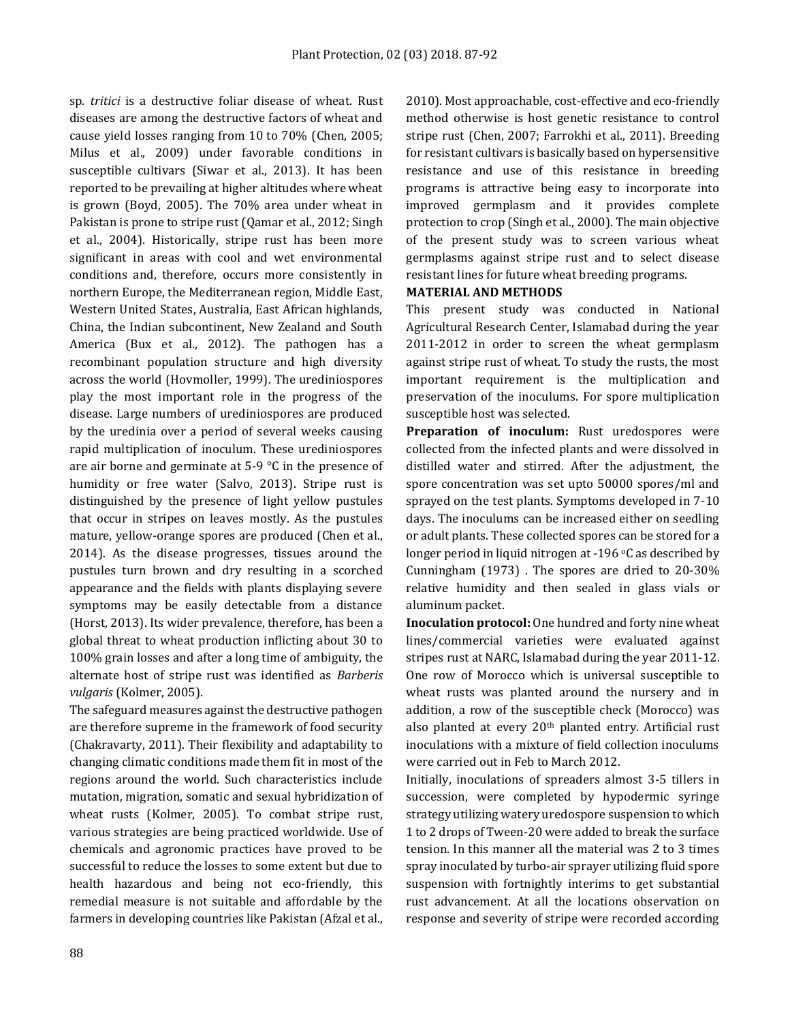sp. *tritici* is a destructive foliar disease of wheat. Rust diseases are among the destructive factors of wheat and cause yield losses ranging from 10 to 70% (Chen, 2005; Milus et al., 2009) under favorable conditions in susceptible cultivars (Siwar et al., 2013). It has been reported to be prevailing at higher altitudes where wheat is grown (Boyd, 2005). The 70% area under wheat in Pakistan is prone to stripe rust (Qamar et al., 2012; Singh et al., 2004). Historically, stripe rust has been more significant in areas with cool and wet environmental conditions and, therefore, occurs more consistently in northern Europe, the Mediterranean region, Middle East, Western United States, Australia, East African highlands, China, the Indian subcontinent, New Zealand and South America (Bux et al., 2012). The pathogen has a recombinant population structure and high diversity across the world (Hovmoller, 1999). The urediniospores play the most important role in the progress of the disease. Large numbers of urediniospores are produced by the uredinia over a period of several weeks causing rapid multiplication of inoculum. These urediniospores are air borne and germinate at 5-9 °C in the presence of humidity or free water (Salvo, 2013). Stripe rust is distinguished by the presence of light yellow pustules that occur in stripes on leaves mostly. As the pustules mature, yellow-orange spores are produced (Chen et al., 2014). As the disease progresses, tissues around the pustules turn brown and dry resulting in a scorched appearance and the fields with plants displaying severe symptoms may be easily detectable from a distance (Horst, 2013). Its wider prevalence, therefore, has been a global threat to wheat production inflicting about 30 to 100% grain losses and after a long time of ambiguity, the alternate host of stripe rust was identified as *Barberis vulgaris* (Kolmer, 2005).

The safeguard measures against the destructive pathogen are therefore supreme in the framework of food security (Chakravarty, 2011). Their flexibility and adaptability to changing climatic conditions made them fit in most of the regions around the world. Such characteristics include mutation, migration, somatic and sexual hybridization of wheat rusts (Kolmer, 2005). To combat stripe rust, various strategies are being practiced worldwide. Use of chemicals and agronomic practices have proved to be successful to reduce the losses to some extent but due to health hazardous and being not eco-friendly, this remedial measure is not suitable and affordable by the farmers in developing countries like Pakistan (Afzal et al.,

2010). Most approachable, cost-effective and eco-friendly method otherwise is host genetic resistance to control stripe rust (Chen, 2007; Farrokhi et al., 2011). Breeding for resistant cultivars is basically based on hypersensitive resistance and use of this resistance in breeding programs is attractive being easy to incorporate into improved germplasm and it provides complete protection to crop (Singh et al., 2000). The main objective of the present study was to screen various wheat germplasms against stripe rust and to select disease resistant lines for future wheat breeding programs.

### **MATERIAL AND METHODS**

This present study was conducted in National Agricultural Research Center, Islamabad during the year 2011-2012 in order to screen the wheat germplasm against stripe rust of wheat. To study the rusts, the most important requirement is the multiplication and preservation of the inoculums. For spore multiplication susceptible host was selected.

Preparation of inoculum: Rust uredospores were collected from the infected plants and were dissolved in distilled water and stirred. After the adjustment, the spore concentration was set upto 50000 spores/ml and sprayed on the test plants. Symptoms developed in 7-10 days. The inoculums can be increased either on seedling or adult plants. These collected spores can be stored for a longer period in liquid nitrogen at -196 °C as described by Cunningham (1973) . The spores are dried to 20-30% relative humidity and then sealed in glass vials or aluminum packet.

**Inoculation protocol:** One hundred and forty nine wheat lines/commercial varieties were evaluated against stripes rust at NARC, Islamabad during the year 2011-12. One row of Morocco which is universal susceptible to wheat rusts was planted around the nursery and in addition, a row of the susceptible check (Morocco) was also planted at every 20<sup>th</sup> planted entry. Artificial rust inoculations with a mixture of field collection inoculums were carried out in Feb to March 2012.

Initially, inoculations of spreaders almost 3-5 tillers in succession, were completed by hypodermic syringe strategy utilizing watery uredospore suspension to which 1 to 2 drops of Tween-20 were added to break the surface tension. In this manner all the material was 2 to 3 times spray inoculated by turbo-air sprayer utilizing fluid spore suspension with fortnightly interims to get substantial rust advancement. At all the locations observation on response and severity of stripe were recorded according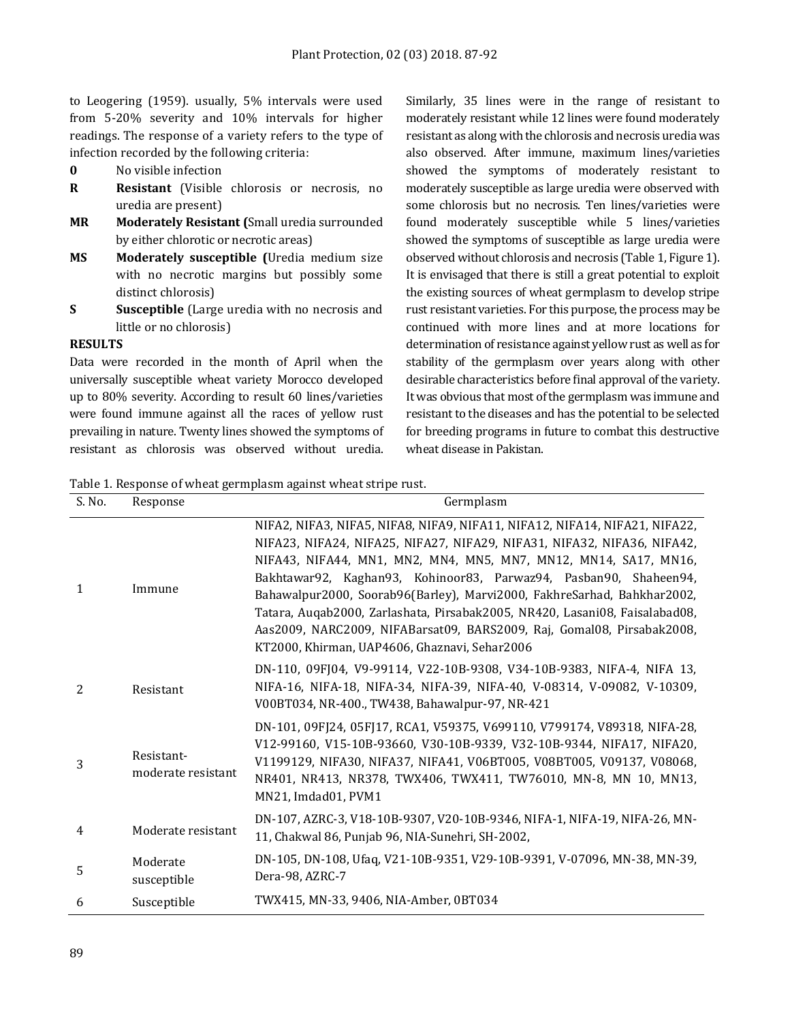to Leogering (1959). usually, 5% intervals were used from 5-20% severity and 10% intervals for higher readings. The response of a variety refers to the type of infection recorded by the following criteria:

- **0** No visible infection
- **R Resistant** (Visible chlorosis or necrosis, no uredia are present)
- **MR Moderately Resistant (**Small uredia surrounded by either chlorotic or necrotic areas)
- **MS Moderately susceptible (**Uredia medium size with no necrotic margins but possibly some distinct chlorosis)
- **S Susceptible** (Large uredia with no necrosis and little or no chlorosis)

### **RESULTS**

Data were recorded in the month of April when the universally susceptible wheat variety Morocco developed up to 80% severity. According to result 60 lines/varieties were found immune against all the races of yellow rust prevailing in nature. Twenty lines showed the symptoms of resistant as chlorosis was observed without uredia.

Similarly, 35 lines were in the range of resistant to moderately resistant while 12 lines were found moderately resistant as along with the chlorosis and necrosis urediawas also observed. After immune, maximum lines/varieties showed the symptoms of moderately resistant to moderately susceptible as large uredia were observed with some chlorosis but no necrosis. Ten lines/varieties were found moderately susceptible while 5 lines/varieties showed the symptoms of susceptible as large uredia were observed without chlorosis and necrosis (Table 1, Figure 1). It is envisaged that there is still a great potential to exploit the existing sources of wheat germplasm to develop stripe rust resistant varieties. For this purpose, the process may be continued with more lines and at more locations for determination of resistance against yellow rust as well as for stability of the germplasm over years along with other desirable characteristics before final approval of the variety. It was obvious that most of the germplasm was immune and resistant to the diseases and has the potential to be selected for breeding programs in future to combat this destructive wheat disease in Pakistan.

Table 1. Response of wheat germplasm against wheat stripe rust.

| S. No.       | Response                         | Germplasm                                                                                                                                                                                                                                                                                                                                                                                                                                                                                                                                                                           |
|--------------|----------------------------------|-------------------------------------------------------------------------------------------------------------------------------------------------------------------------------------------------------------------------------------------------------------------------------------------------------------------------------------------------------------------------------------------------------------------------------------------------------------------------------------------------------------------------------------------------------------------------------------|
| $\mathbf{1}$ | Immune                           | NIFA2, NIFA3, NIFA5, NIFA8, NIFA9, NIFA11, NIFA12, NIFA14, NIFA21, NIFA22,<br>NIFA23, NIFA24, NIFA25, NIFA27, NIFA29, NIFA31, NIFA32, NIFA36, NIFA42,<br>NIFA43, NIFA44, MN1, MN2, MN4, MN5, MN7, MN12, MN14, SA17, MN16,<br>Bakhtawar92, Kaghan93, Kohinoor83, Parwaz94, Pasban90, Shaheen94,<br>Bahawalpur2000, Soorab96(Barley), Marvi2000, FakhreSarhad, Bahkhar2002,<br>Tatara, Auqab2000, Zarlashata, Pirsabak2005, NR420, Lasani08, Faisalabad08,<br>Aas2009, NARC2009, NIFABarsat09, BARS2009, Raj, Gomal08, Pirsabak2008,<br>KT2000, Khirman, UAP4606, Ghaznavi, Sehar2006 |
| 2            | Resistant                        | DN-110, 09FJ04, V9-99114, V22-10B-9308, V34-10B-9383, NIFA-4, NIFA 13,<br>NIFA-16, NIFA-18, NIFA-34, NIFA-39, NIFA-40, V-08314, V-09082, V-10309,<br>V00BT034, NR-400., TW438, Bahawalpur-97, NR-421                                                                                                                                                                                                                                                                                                                                                                                |
| 3            | Resistant-<br>moderate resistant | DN-101, 09FJ24, 05FJ17, RCA1, V59375, V699110, V799174, V89318, NIFA-28,<br>V12-99160, V15-10B-93660, V30-10B-9339, V32-10B-9344, NIFA17, NIFA20,<br>V1199129, NIFA30, NIFA37, NIFA41, V06BT005, V08BT005, V09137, V08068,<br>NR401, NR413, NR378, TWX406, TWX411, TW76010, MN-8, MN 10, MN13,<br>MN21, Imdad01, PVM1                                                                                                                                                                                                                                                               |
| 4            | Moderate resistant               | DN-107, AZRC-3, V18-10B-9307, V20-10B-9346, NIFA-1, NIFA-19, NIFA-26, MN-<br>11, Chakwal 86, Punjab 96, NIA-Sunehri, SH-2002,                                                                                                                                                                                                                                                                                                                                                                                                                                                       |
| 5            | Moderate<br>susceptible          | DN-105, DN-108, Ufaq, V21-10B-9351, V29-10B-9391, V-07096, MN-38, MN-39,<br>Dera-98, AZRC-7                                                                                                                                                                                                                                                                                                                                                                                                                                                                                         |
| 6            | Susceptible                      | TWX415, MN-33, 9406, NIA-Amber, 0BT034                                                                                                                                                                                                                                                                                                                                                                                                                                                                                                                                              |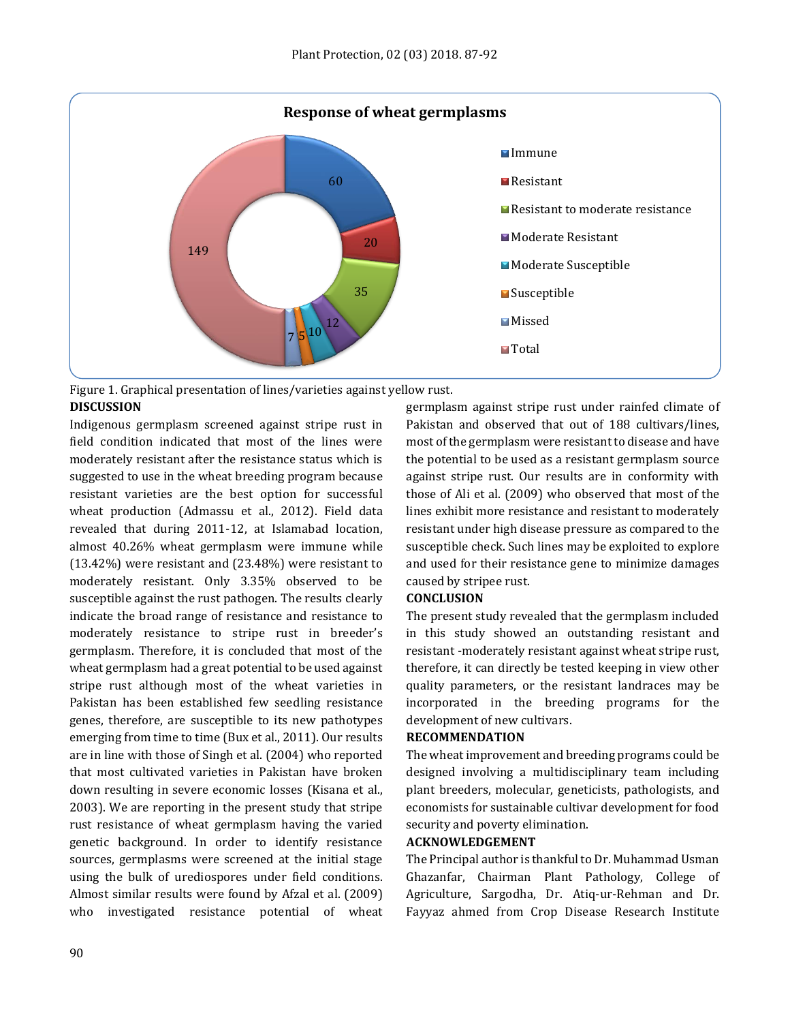

Figure 1. Graphical presentation of lines/varieties against yellow rust. **DISCUSSION**

Indigenous germplasm screened against stripe rust in field condition indicated that most of the lines were moderately resistant after the resistance status which is suggested to use in the wheat breeding program because resistant varieties are the best option for successful wheat production (Admassu et al., 2012). Field data revealed that during 2011-12, at Islamabad location, almost 40.26% wheat germplasm were immune while (13.42%) were resistant and (23.48%) were resistant to moderately resistant. Only 3.35% observed to be susceptible against the rust pathogen. The results clearly indicate the broad range of resistance and resistance to moderately resistance to stripe rust in breeder's germplasm. Therefore, it is concluded that most of the wheat germplasm had a great potential to be used against stripe rust although most of the wheat varieties in Pakistan has been established few seedling resistance genes, therefore, are susceptible to its new pathotypes emerging from time to time (Bux et al., 2011). Our results are in line with those of Singh et al. (2004) who reported that most cultivated varieties in Pakistan have broken down resulting in severe economic losses (Kisana et al., 2003). We are reporting in the present study that stripe rust resistance of wheat germplasm having the varied genetic background. In order to identify resistance sources, germplasms were screened at the initial stage using the bulk of urediospores under field conditions. Almost similar results were found by Afzal et al. (2009) who investigated resistance potential of wheat

germplasm against stripe rust under rainfed climate of Pakistan and observed that out of 188 cultivars/lines, most of the germplasm were resistant to disease and have the potential to be used as a resistant germplasm source against stripe rust. Our results are in conformity with those of Ali et al. (2009) who observed that most of the lines exhibit more resistance and resistant to moderately resistant under high disease pressure as compared to the susceptible check. Such lines may be exploited to explore and used for their resistance gene to minimize damages caused by stripee rust.

# **CONCLUSION**

The present study revealed that the germplasm included in this study showed an outstanding resistant and resistant -moderately resistant against wheat stripe rust, therefore, it can directly be tested keeping in view other quality parameters, or the resistant landraces may be incorporated in the breeding programs for the development of new cultivars.

#### **RECOMMENDATION**

The wheat improvement and breeding programs could be designed involving a multidisciplinary team including plant breeders, molecular, geneticists, pathologists, and economists for sustainable cultivar development for food security and poverty elimination.

#### **ACKNOWLEDGEMENT**

The Principal author is thankful to Dr. Muhammad Usman Ghazanfar, Chairman Plant Pathology, College of Agriculture, Sargodha, Dr. Atiq-ur-Rehman and Dr. Fayyaz ahmed from Crop Disease Research Institute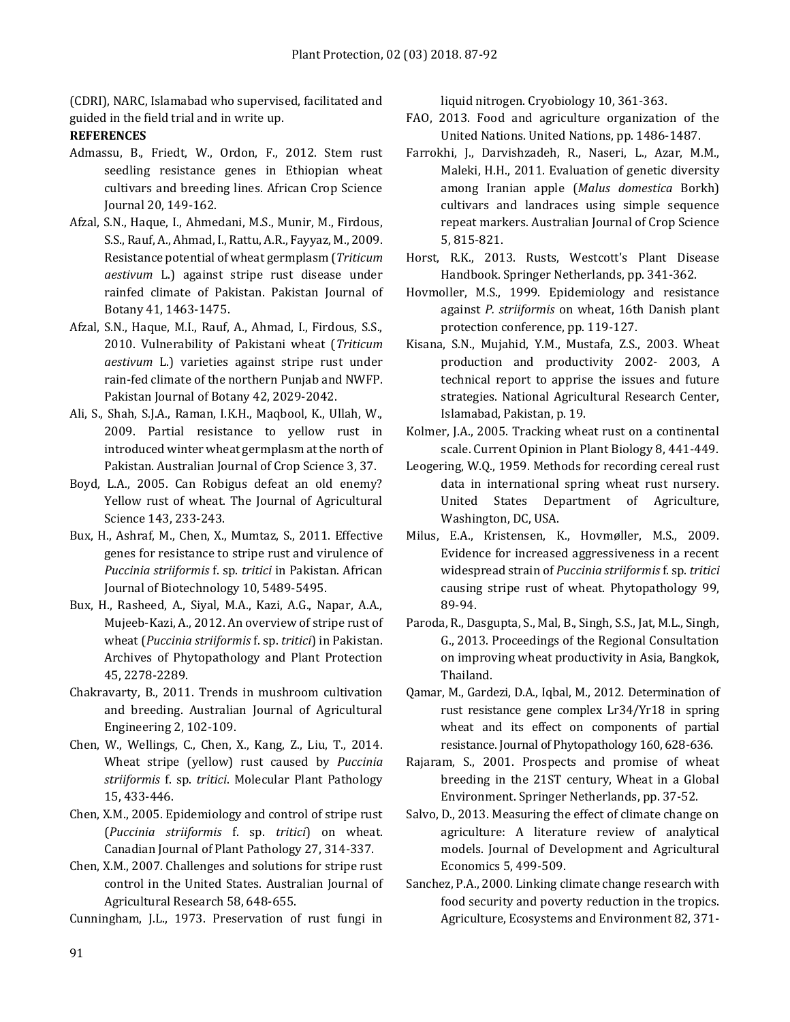(CDRI), NARC, Islamabad who supervised, facilitated and guided in the field trial and in write up.

# **REFERENCES**

- Admassu, B., Friedt, W., Ordon, F., 2012. Stem rust seedling resistance genes in Ethiopian wheat cultivars and breeding lines. African Crop Science Journal 20, 149-162.
- Afzal, S.N., Haque, I., Ahmedani, M.S., Munir, M., Firdous, S.S., Rauf, A., Ahmad, I., Rattu, A.R., Fayyaz, M., 2009. Resistance potential of wheat germplasm (*Triticum aestivum* L.) against stripe rust disease under rainfed climate of Pakistan. Pakistan Journal of Botany 41, 1463-1475.
- Afzal, S.N., Haque, M.I., Rauf, A., Ahmad, I., Firdous, S.S., 2010. Vulnerability of Pakistani wheat (*Triticum aestivum* L.) varieties against stripe rust under rain-fed climate of the northern Punjab and NWFP. Pakistan Journal of Botany 42, 2029-2042.
- Ali, S., Shah, S.J.A., Raman, I.K.H., Maqbool, K., Ullah, W., 2009. Partial resistance to yellow rust in introduced winter wheat germplasm at the north of Pakistan. Australian Journal of Crop Science 3, 37.
- Boyd, L.A., 2005. Can Robigus defeat an old enemy? Yellow rust of wheat. The Journal of Agricultural Science 143, 233-243.
- Bux, H., Ashraf, M., Chen, X., Mumtaz, S., 2011. Effective genes for resistance to stripe rust and virulence of *Puccinia striiformis* f. sp. *tritici* in Pakistan. African Journal of Biotechnology 10, 5489-5495.
- Bux, H., Rasheed, A., Siyal, M.A., Kazi, A.G., Napar, A.A., Mujeeb-Kazi, A., 2012. An overview of stripe rust of wheat (*Puccinia striiformis* f. sp. *tritici*) in Pakistan. Archives of Phytopathology and Plant Protection 45, 2278-2289.
- Chakravarty, B., 2011. Trends in mushroom cultivation and breeding. Australian Journal of Agricultural Engineering 2, 102-109.
- Chen, W., Wellings, C., Chen, X., Kang, Z., Liu, T., 2014. Wheat stripe (yellow) rust caused by *Puccinia striiformis* f. sp. *tritici*. Molecular Plant Pathology 15, 433-446.
- Chen, X.M., 2005. Epidemiology and control of stripe rust (*Puccinia striiformis* f. sp. *tritici*) on wheat. Canadian Journal of Plant Pathology 27, 314-337.
- Chen, X.M., 2007. Challenges and solutions for stripe rust control in the United States. Australian Journal of Agricultural Research 58, 648-655.

Cunningham, J.L., 1973. Preservation of rust fungi in

liquid nitrogen. Cryobiology 10, 361-363.

- FAO, 2013. Food and agriculture organization of the United Nations. United Nations, pp. 1486-1487.
- Farrokhi, J., Darvishzadeh, R., Naseri, L., Azar, M.M., Maleki, H.H., 2011. Evaluation of genetic diversity among Iranian apple (*Malus domestica* Borkh) cultivars and landraces using simple sequence repeat markers. Australian Journal of Crop Science 5, 815-821.
- Horst, R.K., 2013. Rusts, Westcott's Plant Disease Handbook. Springer Netherlands, pp. 341-362.
- Hovmoller, M.S., 1999. Epidemiology and resistance against *P. striiformis* on wheat, 16th Danish plant protection conference, pp. 119-127.
- Kisana, S.N., Mujahid, Y.M., Mustafa, Z.S., 2003. Wheat production and productivity 2002- 2003, A technical report to apprise the issues and future strategies. National Agricultural Research Center, Islamabad, Pakistan, p. 19.
- Kolmer, J.A., 2005. Tracking wheat rust on a continental scale. Current Opinion in Plant Biology 8, 441-449.
- Leogering, W.Q., 1959. Methods for recording cereal rust data in international spring wheat rust nursery. United States Department of Agriculture, Washington, DC, USA.
- Milus, E.A., Kristensen, K., Hovmøller, M.S., 2009. Evidence for increased aggressiveness in a recent widespread strain of *Puccinia striiformis* f. sp. *tritici* causing stripe rust of wheat. Phytopathology 99, 89-94.
- Paroda, R., Dasgupta, S., Mal, B., Singh, S.S., Jat, M.L., Singh, G., 2013. Proceedings of the Regional Consultation on improving wheat productivity in Asia, Bangkok, Thailand.
- Qamar, M., Gardezi, D.A., Iqbal, M., 2012. Determination of rust resistance gene complex Lr34/Yr18 in spring wheat and its effect on components of partial resistance. Journal of Phytopathology 160, 628-636.
- Rajaram, S., 2001. Prospects and promise of wheat breeding in the 21ST century, Wheat in a Global Environment. Springer Netherlands, pp. 37-52.
- Salvo, D., 2013. Measuring the effect of climate change on agriculture: A literature review of analytical models. Journal of Development and Agricultural Economics 5, 499-509.
- Sanchez, P.A., 2000. Linking climate change research with food security and poverty reduction in the tropics. Agriculture, Ecosystems and Environment 82, 371-